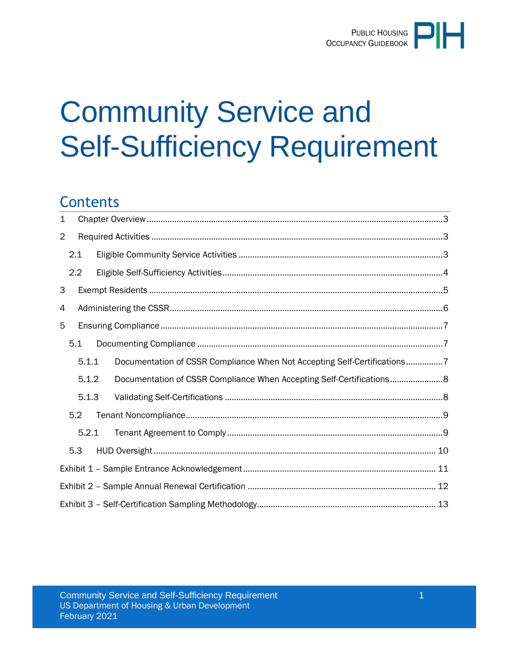# Community Service and Self-Sufficiency Requirement

# **Contents**

| $\mathbf 1$ |       |  |                                                                          |  |  |  |
|-------------|-------|--|--------------------------------------------------------------------------|--|--|--|
| 2           |       |  |                                                                          |  |  |  |
|             | 2.1   |  |                                                                          |  |  |  |
|             | 2.2   |  |                                                                          |  |  |  |
| 3           |       |  |                                                                          |  |  |  |
| 4           |       |  |                                                                          |  |  |  |
| 5           |       |  |                                                                          |  |  |  |
|             | 5.1   |  |                                                                          |  |  |  |
|             | 5.1.1 |  | Documentation of CSSR Compliance When Not Accepting Self-Certifications7 |  |  |  |
|             | 5.1.2 |  | Documentation of CSSR Compliance When Accepting Self-Certifications8     |  |  |  |
|             | 5.1.3 |  |                                                                          |  |  |  |
|             | 5.2   |  |                                                                          |  |  |  |
|             | 5.2.1 |  |                                                                          |  |  |  |
|             | 5.3   |  |                                                                          |  |  |  |
|             |       |  |                                                                          |  |  |  |
|             |       |  |                                                                          |  |  |  |
|             |       |  |                                                                          |  |  |  |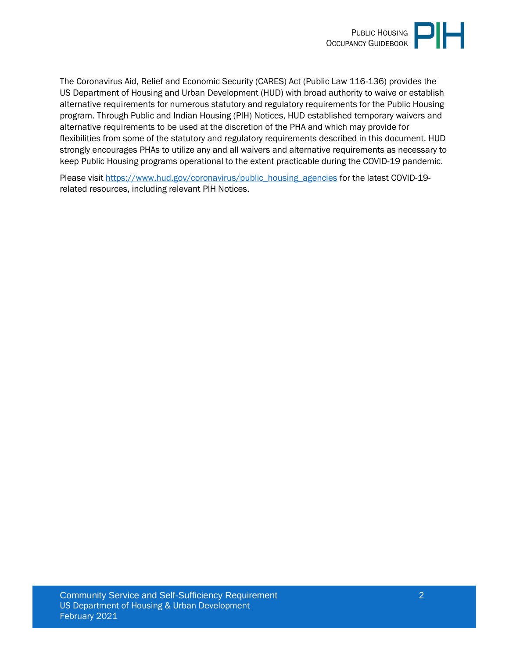

The Coronavirus Aid, Relief and Economic Security (CARES) Act (Public Law 116-136) provides the US Department of Housing and Urban Development (HUD) with broad authority to waive or establish alternative requirements for numerous statutory and regulatory requirements for the Public Housing program. Through Public and Indian Housing (PIH) Notices, HUD established temporary waivers and alternative requirements to be used at the discretion of the PHA and which may provide for flexibilities from some of the statutory and regulatory requirements described in this document. HUD strongly encourages PHAs to utilize any and all waivers and alternative requirements as necessary to keep Public Housing programs operational to the extent practicable during the COVID-19 pandemic.

Please visit [https://www.hud.gov/coronavirus/public\\_housing\\_agencies](https://www.hud.gov/coronavirus/public_housing_agencies) for the latest COVID-19related resources, including relevant PIH Notices.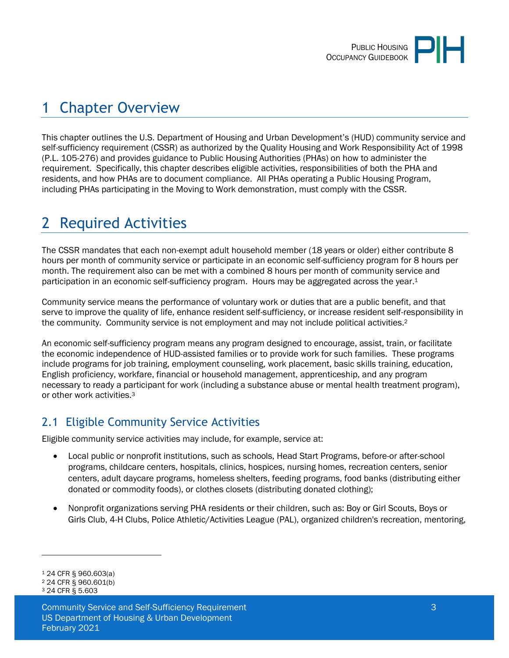

# <span id="page-2-0"></span>1 Chapter Overview

This chapter outlines the U.S. Department of Housing and Urban Development's (HUD) community service and self-sufficiency requirement (CSSR) as authorized by the Quality Housing and Work Responsibility Act of 1998 (P.L. 105-276) and provides guidance to Public Housing Authorities (PHAs) on how to administer the requirement. Specifically, this chapter describes eligible activities, responsibilities of both the PHA and residents, and how PHAs are to document compliance. All PHAs operating a Public Housing Program, including PHAs participating in the Moving to Work demonstration, must comply with the CSSR.

# <span id="page-2-1"></span>2 Required Activities

The CSSR mandates that each non-exempt adult household member (18 years or older) either contribute 8 hours per month of community service or participate in an economic self-sufficiency program for 8 hours per month. The requirement also can be met with a combined 8 hours per month of community service and participation in an economic self-sufficiency program. Hours may be aggregated across the year.<sup>1</sup>

Community service means the performance of voluntary work or duties that are a public benefit, and that serve to improve the quality of life, enhance resident self-sufficiency, or increase resident self-responsibility in the community. Community service is not employment and may not include political activities.<sup>2</sup>

An economic self-sufficiency program means any program designed to encourage, assist, train, or facilitate the economic independence of HUD-assisted families or to provide work for such families. These programs include programs for job training, employment counseling, work placement, basic skills training, education, English proficiency, workfare, financial or household management, apprenticeship, and any program necessary to ready a participant for work (including a substance abuse or mental health treatment program), or other work activities.<sup>3</sup>

# <span id="page-2-2"></span>2.1 Eligible Community Service Activities

Eligible community service activities may include, for example, service at:

- Local public or nonprofit institutions, such as schools, Head Start Programs, before-or after-school programs, childcare centers, hospitals, clinics, hospices, nursing homes, recreation centers, senior centers, adult daycare programs, homeless shelters, feeding programs, food banks (distributing either donated or commodity foods), or clothes closets (distributing donated clothing);
- Nonprofit organizations serving PHA residents or their children, such as: Boy or Girl Scouts, Boys or Girls Club, 4-H Clubs, Police Athletic/Activities League (PAL), organized children's recreation, mentoring,

<sup>1</sup> 24 CFR § 960.603(a)

<sup>2</sup> 24 CFR § 960.601(b) <sup>3</sup> 24 CFR § 5.603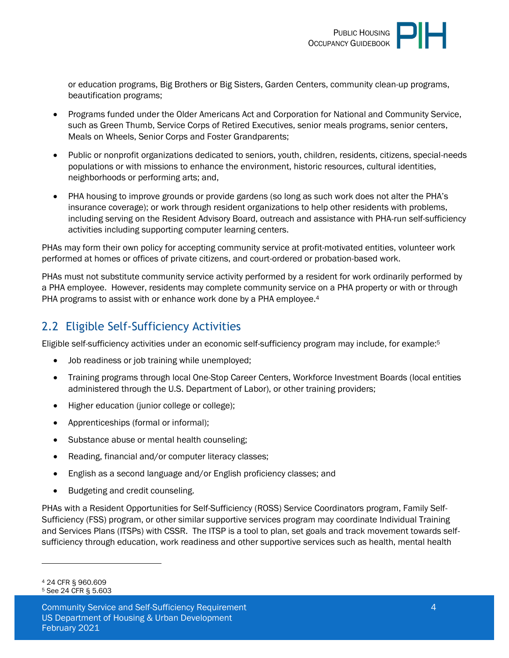or education programs, Big Brothers or Big Sisters, Garden Centers, community clean-up programs, beautification programs;

- Programs funded under the Older Americans Act and Corporation for National and Community Service, such as Green Thumb, Service Corps of Retired Executives, senior meals programs, senior centers, Meals on Wheels, Senior Corps and Foster Grandparents;
- Public or nonprofit organizations dedicated to seniors, youth, children, residents, citizens, special-needs populations or with missions to enhance the environment, historic resources, cultural identities, neighborhoods or performing arts; and,
- PHA housing to improve grounds or provide gardens (so long as such work does not alter the PHA's insurance coverage); or work through resident organizations to help other residents with problems, including serving on the Resident Advisory Board, outreach and assistance with PHA-run self-sufficiency activities including supporting computer learning centers.

PHAs may form their own policy for accepting community service at profit-motivated entities, volunteer work performed at homes or offices of private citizens, and court-ordered or probation-based work.

PHAs must not substitute community service activity performed by a resident for work ordinarily performed by a PHA employee. However, residents may complete community service on a PHA property or with or through PHA programs to assist with or enhance work done by a PHA employee.<sup>4</sup>

# <span id="page-3-0"></span>2.2 Eligible Self-Sufficiency Activities

Eligible self-sufficiency activities under an economic self-sufficiency program may include, for example: 5

- Job readiness or job training while unemployed;
- Training programs through local One-Stop Career Centers, Workforce Investment Boards (local entities administered through the U.S. Department of Labor), or other training providers;
- Higher education (junior college or college);
- Apprenticeships (formal or informal);
- Substance abuse or mental health counseling;
- Reading, financial and/or computer literacy classes;
- English as a second language and/or English proficiency classes; and
- Budgeting and credit counseling.

PHAs with a Resident Opportunities for Self-Sufficiency (ROSS) Service Coordinators program, Family Self-Sufficiency (FSS) program, or other similar supportive services program may coordinate Individual Training and Services Plans (ITSPs) with CSSR. The ITSP is a tool to plan, set goals and track movement towards selfsufficiency through education, work readiness and other supportive services such as health, mental health

<sup>4</sup> 24 CFR § 960.609 <sup>5</sup> See 24 CFR § 5.603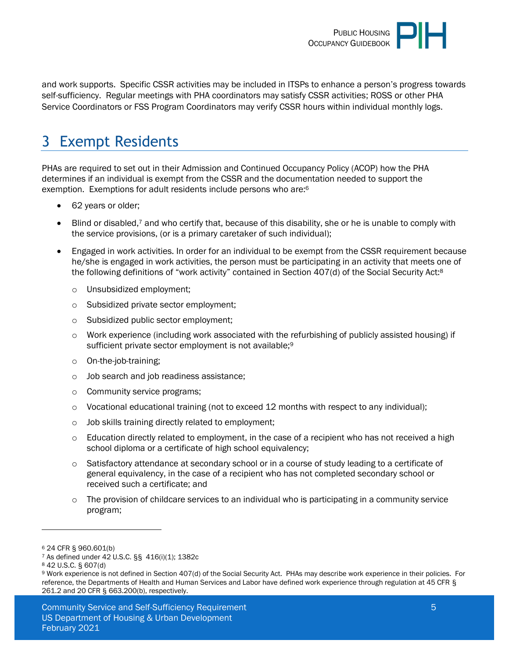

and work supports. Specific CSSR activities may be included in ITSPs to enhance a person's progress towards self-sufficiency. Regular meetings with PHA coordinators may satisfy CSSR activities; ROSS or other PHA Service Coordinators or FSS Program Coordinators may verify CSSR hours within individual monthly logs.

# <span id="page-4-0"></span>3 Exempt Residents

PHAs are required to set out in their Admission and Continued Occupancy Policy (ACOP) how the PHA determines if an individual is exempt from the CSSR and the documentation needed to support the exemption. Exemptions for adult residents include persons who are: 6

- 62 years or older;
- Blind or disabled,<sup>7</sup> and who certify that, because of this disability, she or he is unable to comply with the service provisions, (or is a primary caretaker of such individual);
- Engaged in work activities. In order for an individual to be exempt from the CSSR requirement because he/she is engaged in work activities, the person must be participating in an activity that meets one of the following definitions of "work activity" contained in Section 407(d) of the Social Security Act:<sup>8</sup>
	- o Unsubsidized employment;
	- o Subsidized private sector employment;
	- o Subsidized public sector employment;
	- $\circ$  Work experience (including work associated with the refurbishing of publicly assisted housing) if sufficient private sector employment is not available;<sup>9</sup>
	- o On-the-job-training;
	- o Job search and job readiness assistance;
	- o Community service programs;
	- $\circ$  Vocational educational training (not to exceed 12 months with respect to any individual);
	- o Job skills training directly related to employment;
	- $\circ$  Education directly related to employment, in the case of a recipient who has not received a high school diploma or a certificate of high school equivalency;
	- o Satisfactory attendance at secondary school or in a course of study leading to a certificate of general equivalency, in the case of a recipient who has not completed secondary school or received such a certificate; and
	- $\circ$  The provision of childcare services to an individual who is participating in a community service program;

<sup>6</sup> 24 CFR § 960.601(b)

<sup>7</sup> As defined under 42 U.S.C. §§ 416(i)(1); 1382c

<sup>8</sup> 42 U.S.C. § 607(d)

<sup>9</sup> Work experience is not defined in Section 407(d) of the Social Security Act. PHAs may describe work experience in their policies. For reference, the Departments of Health and Human Services and Labor have defined work experience through regulation at 45 CFR § 261.2 and 20 CFR § 663.200(b), respectively.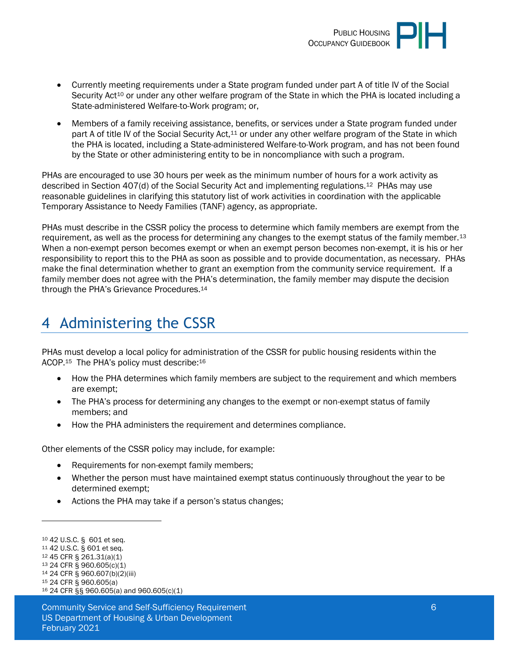

- Currently meeting requirements under a State program funded under part A of title IV of the Social Security Act<sup>10</sup> or under any other welfare program of the State in which the PHA is located including a State-administered Welfare-to-Work program; or,
- Members of a family receiving assistance, benefits, or services under a State program funded under part A of title IV of the Social Security Act,<sup>11</sup> or under any other welfare program of the State in which the PHA is located, including a State-administered Welfare-to-Work program, and has not been found by the State or other administering entity to be in noncompliance with such a program.

PHAs are encouraged to use 30 hours per week as the minimum number of hours for a work activity as described in Section 407(d) of the Social Security Act and implementing regulations.12 PHAs may use reasonable guidelines in clarifying this statutory list of work activities in coordination with the applicable Temporary Assistance to Needy Families (TANF) agency, as appropriate.

PHAs must describe in the CSSR policy the process to determine which family members are exempt from the requirement, as well as the process for determining any changes to the exempt status of the family member.<sup>13</sup> When a non-exempt person becomes exempt or when an exempt person becomes non-exempt, it is his or her responsibility to report this to the PHA as soon as possible and to provide documentation, as necessary. PHAs make the final determination whether to grant an exemption from the community service requirement. If a family member does not agree with the PHA's determination, the family member may dispute the decision through the PHA's Grievance Procedures.<sup>14</sup>

# <span id="page-5-0"></span>4 Administering the CSSR

PHAs must develop a local policy for administration of the CSSR for public housing residents within the ACOP.<sup>15</sup> The PHA's policy must describe:<sup>16</sup>

- How the PHA determines which family members are subject to the requirement and which members are exempt;
- The PHA's process for determining any changes to the exempt or non-exempt status of family members; and
- How the PHA administers the requirement and determines compliance.

Other elements of the CSSR policy may include, for example:

- Requirements for non-exempt family members;
- Whether the person must have maintained exempt status continuously throughout the year to be determined exempt;
- Actions the PHA may take if a person's status changes;

- <sup>12</sup> 45 CFR § 261.31(a)(1) <sup>13</sup> 24 CFR § 960.605(c)(1)
- <sup>14</sup> 24 CFR § 960.607(b)(2)(iii)
- <sup>15</sup> 24 CFR § 960.605(a)

<sup>10</sup> 42 U.S.C. § 601 et seq.

<sup>11</sup> 42 U.S.C. § 601 et seq.

<sup>16</sup> 24 CFR §§ 960.605(a) and 960.605(c)(1)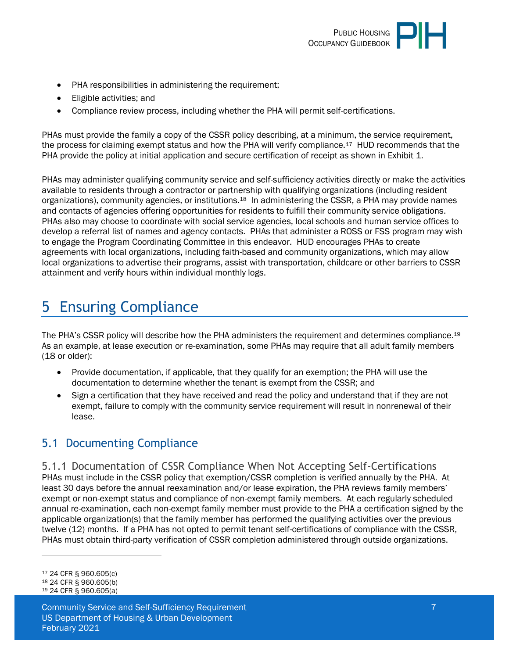

- PHA responsibilities in administering the requirement;
- Eligible activities; and
- Compliance review process, including whether the PHA will permit self-certifications.

PHAs must provide the family a copy of the CSSR policy describing, at a minimum, the service requirement, the process for claiming exempt status and how the PHA will verify compliance.<sup>17</sup> HUD recommends that the PHA provide the policy at initial application and secure certification of receipt as shown in Exhibit 1.

PHAs may administer qualifying community service and self-sufficiency activities directly or make the activities available to residents through a contractor or partnership with qualifying organizations (including resident organizations), community agencies, or institutions.<sup>18</sup> In administering the CSSR, a PHA may provide names and contacts of agencies offering opportunities for residents to fulfill their community service obligations. PHAs also may choose to coordinate with social service agencies, local schools and human service offices to develop a referral list of names and agency contacts. PHAs that administer a ROSS or FSS program may wish to engage the Program Coordinating Committee in this endeavor. HUD encourages PHAs to create agreements with local organizations, including faith-based and community organizations, which may allow local organizations to advertise their programs, assist with transportation, childcare or other barriers to CSSR attainment and verify hours within individual monthly logs.

# <span id="page-6-0"></span>5 Ensuring Compliance

The PHA's CSSR policy will describe how the PHA administers the requirement and determines compliance.<sup>19</sup> As an example, at lease execution or re-examination, some PHAs may require that all adult family members (18 or older):

- Provide documentation, if applicable, that they qualify for an exemption; the PHA will use the documentation to determine whether the tenant is exempt from the CSSR; and
- Sign a certification that they have received and read the policy and understand that if they are not exempt, failure to comply with the community service requirement will result in nonrenewal of their lease.

### <span id="page-6-1"></span>5.1 Documenting Compliance

<span id="page-6-2"></span>5.1.1 Documentation of CSSR Compliance When Not Accepting Self-Certifications PHAs must include in the CSSR policy that exemption/CSSR completion is verified annually by the PHA. At least 30 days before the annual reexamination and/or lease expiration, the PHA reviews family members' exempt or non-exempt status and compliance of non-exempt family members. At each regularly scheduled annual re-examination, each non-exempt family member must provide to the PHA a certification signed by the applicable organization(s) that the family member has performed the qualifying activities over the previous twelve (12) months. If a PHA has not opted to permit tenant self-certifications of compliance with the CSSR, PHAs must obtain third-party verification of CSSR completion administered through outside organizations.

<sup>17</sup> 24 CFR § 960.605(c)

<sup>18</sup> 24 CFR § 960.605(b) <sup>19</sup> 24 CFR § 960.605(a)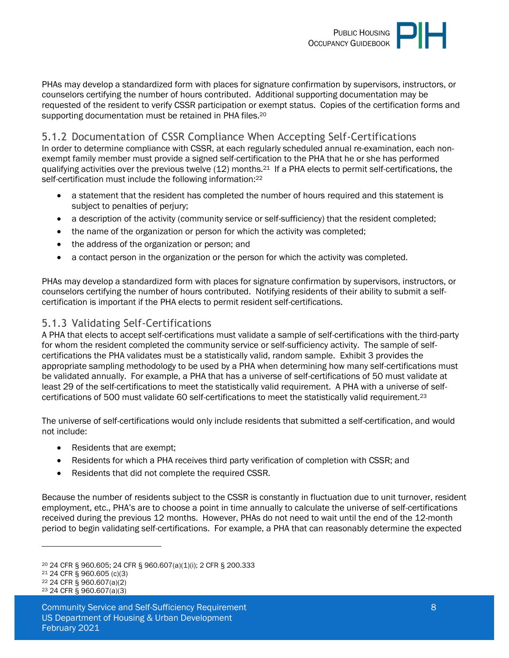

PHAs may develop a standardized form with places for signature confirmation by supervisors, instructors, or counselors certifying the number of hours contributed. Additional supporting documentation may be requested of the resident to verify CSSR participation or exempt status. Copies of the certification forms and supporting documentation must be retained in PHA files.<sup>20</sup>

#### <span id="page-7-0"></span>5.1.2 Documentation of CSSR Compliance When Accepting Self-Certifications

In order to determine compliance with CSSR, at each regularly scheduled annual re-examination, each nonexempt family member must provide a signed self-certification to the PHA that he or she has performed qualifying activities over the previous twelve (12) months.21 If a PHA elects to permit self-certifications, the self-certification must include the following information:<sup>22</sup>

- a statement that the resident has completed the number of hours required and this statement is subject to penalties of perjury;
- a description of the activity (community service or self-sufficiency) that the resident completed;
- the name of the organization or person for which the activity was completed;
- the address of the organization or person; and
- a contact person in the organization or the person for which the activity was completed.

PHAs may develop a standardized form with places for signature confirmation by supervisors, instructors, or counselors certifying the number of hours contributed. Notifying residents of their ability to submit a selfcertification is important if the PHA elects to permit resident self-certifications.

#### <span id="page-7-1"></span>5.1.3 Validating Self-Certifications

A PHA that elects to accept self-certifications must validate a sample of self-certifications with the third-party for whom the resident completed the community service or self-sufficiency activity. The sample of selfcertifications the PHA validates must be a statistically valid, random sample. Exhibit 3 provides the appropriate sampling methodology to be used by a PHA when determining how many self-certifications must be validated annually. For example, a PHA that has a universe of self-certifications of 50 must validate at least 29 of the self-certifications to meet the statistically valid requirement. A PHA with a universe of selfcertifications of 500 must validate 60 self-certifications to meet the statistically valid requirement.<sup>23</sup>

The universe of self-certifications would only include residents that submitted a self-certification, and would not include:

- Residents that are exempt;
- Residents for which a PHA receives third party verification of completion with CSSR; and
- Residents that did not complete the required CSSR.

Because the number of residents subject to the CSSR is constantly in fluctuation due to unit turnover, resident employment, etc., PHA's are to choose a point in time annually to calculate the universe of self-certifications received during the previous 12 months. However, PHAs do not need to wait until the end of the 12-month period to begin validating self-certifications. For example, a PHA that can reasonably determine the expected

<sup>20</sup> 24 CFR § 960.605; 24 CFR § 960.607(a)(1)(i); 2 CFR § 200.333

<sup>21</sup> 24 CFR § 960.605 (c)(3)

<sup>22</sup> 24 CFR § 960.607(a)(2)

<sup>23</sup> 24 CFR § 960.607(a)(3)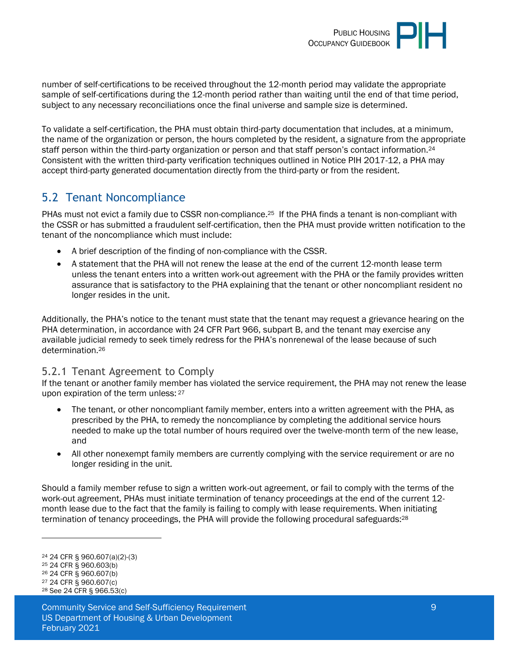

number of self-certifications to be received throughout the 12-month period may validate the appropriate sample of self-certifications during the 12-month period rather than waiting until the end of that time period, subject to any necessary reconciliations once the final universe and sample size is determined.

To validate a self-certification, the PHA must obtain third-party documentation that includes, at a minimum, the name of the organization or person, the hours completed by the resident, a signature from the appropriate staff person within the third-party organization or person and that staff person's contact information.<sup>24</sup> Consistent with the written third-party verification techniques outlined in Notice PIH 2017-12, a PHA may accept third-party generated documentation directly from the third-party or from the resident.

### <span id="page-8-0"></span>5.2 Tenant Noncompliance

PHAs must not evict a family due to CSSR non-compliance.<sup>25</sup> If the PHA finds a tenant is non-compliant with the CSSR or has submitted a fraudulent self-certification, then the PHA must provide written notification to the tenant of the noncompliance which must include:

- A brief description of the finding of non-compliance with the CSSR.
- A statement that the PHA will not renew the lease at the end of the current 12-month lease term unless the tenant enters into a written work-out agreement with the PHA or the family provides written assurance that is satisfactory to the PHA explaining that the tenant or other noncompliant resident no longer resides in the unit.

Additionally, the PHA's notice to the tenant must state that the tenant may request a grievance hearing on the PHA determination, in accordance with 24 CFR Part 966, subpart B, and the tenant may exercise any available judicial remedy to seek timely redress for the PHA's nonrenewal of the lease because of such determination.<sup>26</sup>

#### <span id="page-8-1"></span>5.2.1 Tenant Agreement to Comply

If the tenant or another family member has violated the service requirement, the PHA may not renew the lease upon expiration of the term unless: 27

- The tenant, or other noncompliant family member, enters into a written agreement with the PHA, as prescribed by the PHA, to remedy the noncompliance by completing the additional service hours needed to make up the total number of hours required over the twelve-month term of the new lease, and
- All other nonexempt family members are currently complying with the service requirement or are no longer residing in the unit.

Should a family member refuse to sign a written work-out agreement, or fail to comply with the terms of the work-out agreement, PHAs must initiate termination of tenancy proceedings at the end of the current 12 month lease due to the fact that the family is failing to comply with lease requirements. When initiating termination of tenancy proceedings, the PHA will provide the following procedural safeguards:<sup>28</sup>

<sup>24</sup> 24 CFR § 960.607(a)(2)-(3)

<sup>25</sup> 24 CFR § 960.603(b)

<sup>26</sup> 24 CFR § 960.607(b)

<sup>27</sup> 24 CFR § 960.607(c) <sup>28</sup> See 24 CFR § 966.53(c)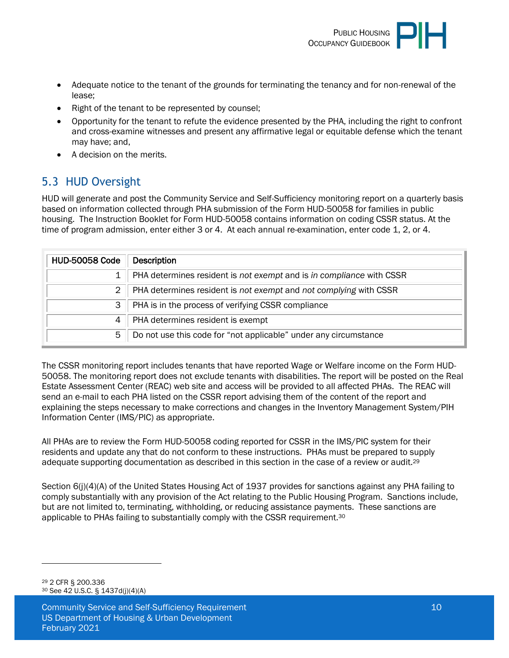

- Adequate notice to the tenant of the grounds for terminating the tenancy and for non-renewal of the lease;
- Right of the tenant to be represented by counsel;
- Opportunity for the tenant to refute the evidence presented by the PHA, including the right to confront and cross-examine witnesses and present any affirmative legal or equitable defense which the tenant may have; and,
- A decision on the merits.

# <span id="page-9-0"></span>5.3 HUD Oversight

HUD will generate and post the Community Service and Self-Sufficiency monitoring report on a quarterly basis based on information collected through PHA submission of the Form HUD-50058 for families in public housing. The Instruction Booklet for Form HUD-50058 contains information on coding CSSR status. At the time of program admission, enter either 3 or 4. At each annual re-examination, enter code 1, 2, or 4.

| <b>HUD-50058 Code</b> | <b>Description</b>                                                   |
|-----------------------|----------------------------------------------------------------------|
|                       | PHA determines resident is not exempt and is in compliance with CSSR |
| $\overline{2}$        | PHA determines resident is not exempt and not complying with CSSR    |
| 3                     | PHA is in the process of verifying CSSR compliance                   |
|                       | PHA determines resident is exempt                                    |
| 5                     | Do not use this code for "not applicable" under any circumstance     |

The CSSR monitoring report includes tenants that have reported Wage or Welfare income on the Form HUD-50058. The monitoring report does not exclude tenants with disabilities. The report will be posted on the Real Estate Assessment Center (REAC) web site and access will be provided to all affected PHAs. The REAC will send an e-mail to each PHA listed on the CSSR report advising them of the content of the report and explaining the steps necessary to make corrections and changes in the Inventory Management System/PIH Information Center (IMS/PIC) as appropriate.

All PHAs are to review the Form HUD-50058 coding reported for CSSR in the IMS/PIC system for their residents and update any that do not conform to these instructions. PHAs must be prepared to supply adequate supporting documentation as described in this section in the case of a review or audit.<sup>29</sup>

Section 6(j)(4)(A) of the United States Housing Act of 1937 provides for sanctions against any PHA failing to comply substantially with any provision of the Act relating to the Public Housing Program. Sanctions include, but are not limited to, terminating, withholding, or reducing assistance payments. These sanctions are applicable to PHAs failing to substantially comply with the CSSR requirement.<sup>30</sup>

<sup>29</sup> 2 CFR § 200.336 <sup>30</sup> See 42 U.S.C. § 1437d(j)(4)(A)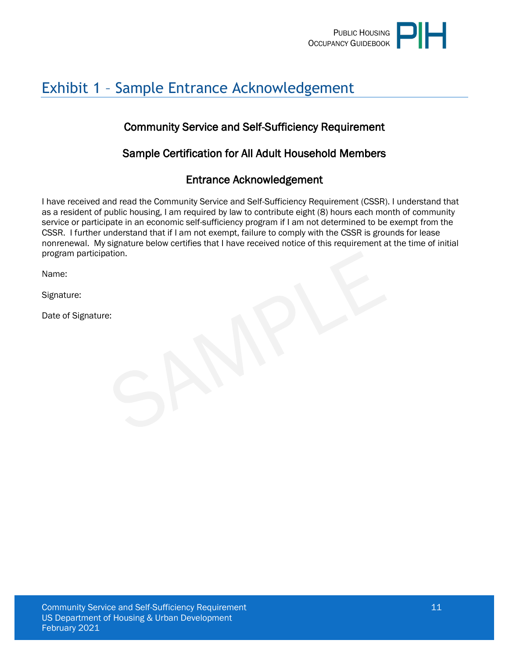

# <span id="page-10-0"></span>Exhibit 1 – Sample Entrance Acknowledgement

### Community Service and Self-Sufficiency Requirement

### Sample Certification for All Adult Household Members

### Entrance Acknowledgement

I have received and read the Community Service and Self-Sufficiency Requirement (CSSR). I understand that as a resident of public housing, I am required by law to contribute eight (8) hours each month of community service or participate in an economic self-sufficiency program if I am not determined to be exempt from the CSSR. I further understand that if I am not exempt, failure to comply with the CSSR is grounds for lease nonrenewal. My signature below certifies that I have received notice of this requirement at the time of initial program participation.

Name:

Signature:

Date of Signature: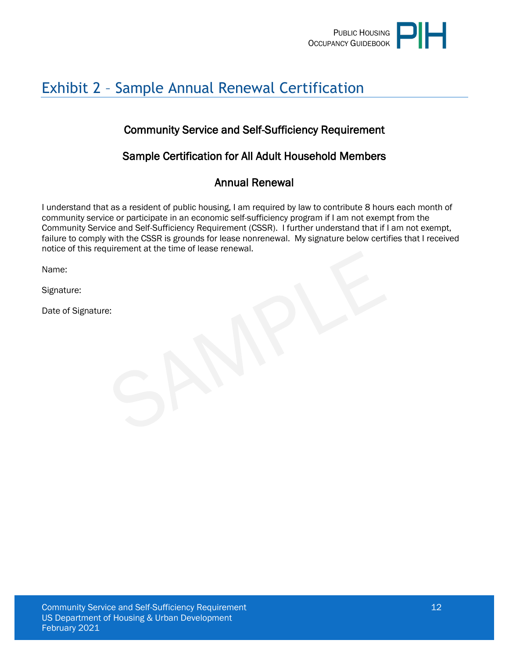

# <span id="page-11-0"></span>Exhibit 2 – Sample Annual Renewal Certification

### Community Service and Self-Sufficiency Requirement

### Sample Certification for All Adult Household Members

### Annual Renewal

I understand that as a resident of public housing, I am required by law to contribute 8 hours each month of community service or participate in an economic self-sufficiency program if I am not exempt from the Community Service and Self-Sufficiency Requirement (CSSR). I further understand that if I am not exempt, failure to comply with the CSSR is grounds for lease nonrenewal. My signature below certifies that I received notice of this requirement at the time of lease renewal.

Name:

Signature:

Date of Signature: